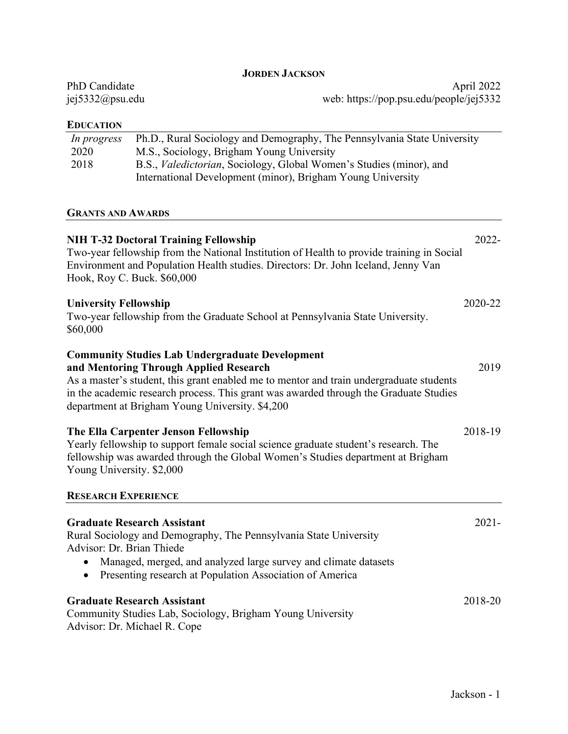| PhD Candidate   | April 2022                              |
|-----------------|-----------------------------------------|
| jej5332@psu.edu | web: https://pop.psu.edu/people/jej5332 |
|                 |                                         |

### **EDUCATION**

| In progress | Ph.D., Rural Sociology and Demography, The Pennsylvania State University    |
|-------------|-----------------------------------------------------------------------------|
| 2020        | M.S., Sociology, Brigham Young University                                   |
| 2018        | B.S., <i>Valedictorian</i> , Sociology, Global Women's Studies (minor), and |
|             | International Development (minor), Brigham Young University                 |

### **GRANTS AND AWARDS**

| <b>NIH T-32 Doctoral Training Fellowship</b><br>Two-year fellowship from the National Institution of Health to provide training in Social<br>Environment and Population Health studies. Directors: Dr. John Iceland, Jenny Van<br>Hook, Roy C. Buck. \$60,000                                                                           | 2022-    |
|-----------------------------------------------------------------------------------------------------------------------------------------------------------------------------------------------------------------------------------------------------------------------------------------------------------------------------------------|----------|
| <b>University Fellowship</b><br>Two-year fellowship from the Graduate School at Pennsylvania State University.<br>\$60,000                                                                                                                                                                                                              | 2020-22  |
| <b>Community Studies Lab Undergraduate Development</b><br>and Mentoring Through Applied Research<br>As a master's student, this grant enabled me to mentor and train undergraduate students<br>in the academic research process. This grant was awarded through the Graduate Studies<br>department at Brigham Young University. \$4,200 | 2019     |
| The Ella Carpenter Jenson Fellowship<br>Yearly fellowship to support female social science graduate student's research. The<br>fellowship was awarded through the Global Women's Studies department at Brigham<br>Young University. \$2,000                                                                                             | 2018-19  |
| <b>RESEARCH EXPERIENCE</b>                                                                                                                                                                                                                                                                                                              |          |
| <b>Graduate Research Assistant</b><br>Rural Sociology and Demography, The Pennsylvania State University<br>Advisor: Dr. Brian Thiede<br>Managed, merged, and analyzed large survey and climate datasets                                                                                                                                 | $2021 -$ |
| Presenting research at Population Association of America<br>$\bullet$                                                                                                                                                                                                                                                                   |          |
| <b>Graduate Research Assistant</b><br>Community Studies Lab, Sociology, Brigham Young University<br>Advisor: Dr. Michael R. Cope                                                                                                                                                                                                        | 2018-20  |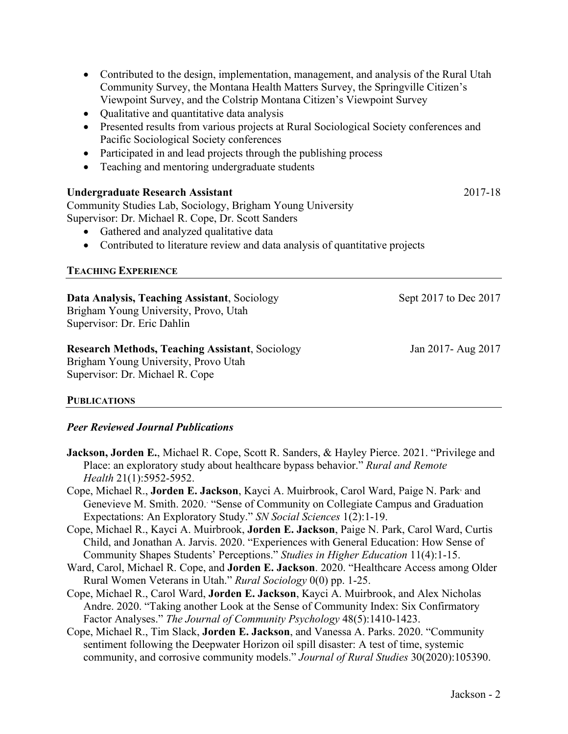- Contributed to the design, implementation, management, and analysis of the Rural Utah Community Survey, the Montana Health Matters Survey, the Springville Citizen's Viewpoint Survey, and the Colstrip Montana Citizen's Viewpoint Survey
- Qualitative and quantitative data analysis
- Presented results from various projects at Rural Sociological Society conferences and Pacific Sociological Society conferences
- Participated in and lead projects through the publishing process
- Teaching and mentoring undergraduate students

| Undergraduate Research Assistant                                              | 2017-18 |
|-------------------------------------------------------------------------------|---------|
| Community Studies Lab, Sociology, Brigham Young University                    |         |
| Supervisor: Dr. Michael R. Cope, Dr. Scott Sanders                            |         |
| • Gathered and analyzed qualitative data                                      |         |
| • Contributed to literature review and data analysis of quantitative projects |         |
| <b>TEACHING EVPEPIENCE</b>                                                    |         |

# **TEACHING EXPERIENCE**

| Data Analysis, Teaching Assistant, Sociology | Sept 2017 to Dec 2017 |
|----------------------------------------------|-----------------------|
| Brigham Young University, Provo, Utah        |                       |
| Supervisor: Dr. Eric Dahlin                  |                       |
|                                              |                       |

### **Research Methods, Teaching Assistant**, Sociology Jan 2017- Aug 2017

Brigham Young University, Provo Utah Supervisor: Dr. Michael R. Cope

# **PUBLICATIONS**

# *Peer Reviewed Journal Publications*

- **Jackson, Jorden E.**, Michael R. Cope, Scott R. Sanders, & Hayley Pierce. 2021. "Privilege and Place: an exploratory study about healthcare bypass behavior." *Rural and Remote Health* 21(1):5952-5952.
- Cope, Michael R., Jorden E. Jackson, Kayci A. Muirbrook, Carol Ward, Paige N. Park<sup>,</sup> and Genevieve M. Smith. 2020. "Sense of Community on Collegiate Campus and Graduation Expectations: An Exploratory Study." *SN Social Sciences* 1(2):1-19.
- Cope, Michael R., Kayci A. Muirbrook, **Jorden E. Jackson**, Paige N. Park, Carol Ward, Curtis Child, and Jonathan A. Jarvis. 2020. "Experiences with General Education: How Sense of Community Shapes Students' Perceptions." *Studies in Higher Education* 11(4):1-15.
- Ward, Carol, Michael R. Cope, and **Jorden E. Jackson**. 2020. "Healthcare Access among Older Rural Women Veterans in Utah." *Rural Sociology* 0(0) pp. 1-25.
- Cope, Michael R., Carol Ward, **Jorden E. Jackson**, Kayci A. Muirbrook, and Alex Nicholas Andre. 2020. "Taking another Look at the Sense of Community Index: Six Confirmatory Factor Analyses." *The Journal of Community Psychology* 48(5):1410-1423.
- Cope, Michael R., Tim Slack, **Jorden E. Jackson**, and Vanessa A. Parks. 2020. "Community sentiment following the Deepwater Horizon oil spill disaster: A test of time, systemic community, and corrosive community models." *Journal of Rural Studies* 30(2020):105390.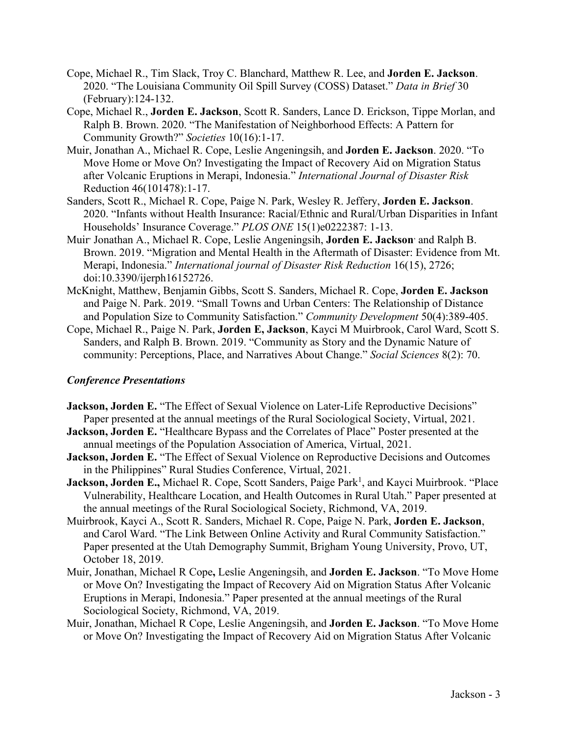- Cope, Michael R., Tim Slack, Troy C. Blanchard, Matthew R. Lee, and **Jorden E. Jackson**. 2020. "The Louisiana Community Oil Spill Survey (COSS) Dataset." *Data in Brief* 30 (February):124-132.
- Cope, Michael R., **Jorden E. Jackson**, Scott R. Sanders, Lance D. Erickson, Tippe Morlan, and Ralph B. Brown. 2020. "The Manifestation of Neighborhood Effects: A Pattern for Community Growth?" *Societies* 10(16):1-17.
- Muir, Jonathan A., Michael R. Cope, Leslie Angeningsih, and **Jorden E. Jackson**. 2020. "To Move Home or Move On? Investigating the Impact of Recovery Aid on Migration Status after Volcanic Eruptions in Merapi, Indonesia." *International Journal of Disaster Risk* Reduction 46(101478):1-17.
- Sanders, Scott R., Michael R. Cope, Paige N. Park, Wesley R. Jeffery, **Jorden E. Jackson**. 2020. "Infants without Health Insurance: Racial/Ethnic and Rural/Urban Disparities in Infant Households' Insurance Coverage." *PLOS ONE* 15(1)e0222387: 1-13.
- Muir, Jonathan A., Michael R. Cope, Leslie Angeningsih, **Jorden E. Jackson**, and Ralph B. Brown. 2019. "Migration and Mental Health in the Aftermath of Disaster: Evidence from Mt. Merapi, Indonesia." *International journal of Disaster Risk Reduction* 16(15), 2726; doi:10.3390/ijerph16152726.
- McKnight, Matthew, Benjamin Gibbs, Scott S. Sanders, Michael R. Cope, **Jorden E. Jackson** and Paige N. Park. 2019. "Small Towns and Urban Centers: The Relationship of Distance and Population Size to Community Satisfaction." *Community Development* 50(4):389-405.
- Cope, Michael R., Paige N. Park, **Jorden E, Jackson**, Kayci M Muirbrook, Carol Ward, Scott S. Sanders, and Ralph B. Brown. 2019. "Community as Story and the Dynamic Nature of community: Perceptions, Place, and Narratives About Change." *Social Sciences* 8(2): 70.

# *Conference Presentations*

- **Jackson, Jorden E.** "The Effect of Sexual Violence on Later-Life Reproductive Decisions" Paper presented at the annual meetings of the Rural Sociological Society, Virtual, 2021.
- **Jackson, Jorden E.** "Healthcare Bypass and the Correlates of Place" Poster presented at the annual meetings of the Population Association of America, Virtual, 2021.
- **Jackson, Jorden E.** "The Effect of Sexual Violence on Reproductive Decisions and Outcomes in the Philippines" Rural Studies Conference, Virtual, 2021.
- Jackson, Jorden E., Michael R. Cope, Scott Sanders, Paige Park<sup>1</sup>, and Kayci Muirbrook. "Place Vulnerability, Healthcare Location, and Health Outcomes in Rural Utah." Paper presented at the annual meetings of the Rural Sociological Society, Richmond, VA, 2019.
- Muirbrook, Kayci A., Scott R. Sanders, Michael R. Cope, Paige N. Park, **Jorden E. Jackson**, and Carol Ward. "The Link Between Online Activity and Rural Community Satisfaction." Paper presented at the Utah Demography Summit, Brigham Young University, Provo, UT, October 18, 2019.
- Muir, Jonathan, Michael R Cope**,** Leslie Angeningsih, and **Jorden E. Jackson**. "To Move Home or Move On? Investigating the Impact of Recovery Aid on Migration Status After Volcanic Eruptions in Merapi, Indonesia." Paper presented at the annual meetings of the Rural Sociological Society, Richmond, VA, 2019.
- Muir, Jonathan, Michael R Cope, Leslie Angeningsih, and **Jorden E. Jackson**. "To Move Home or Move On? Investigating the Impact of Recovery Aid on Migration Status After Volcanic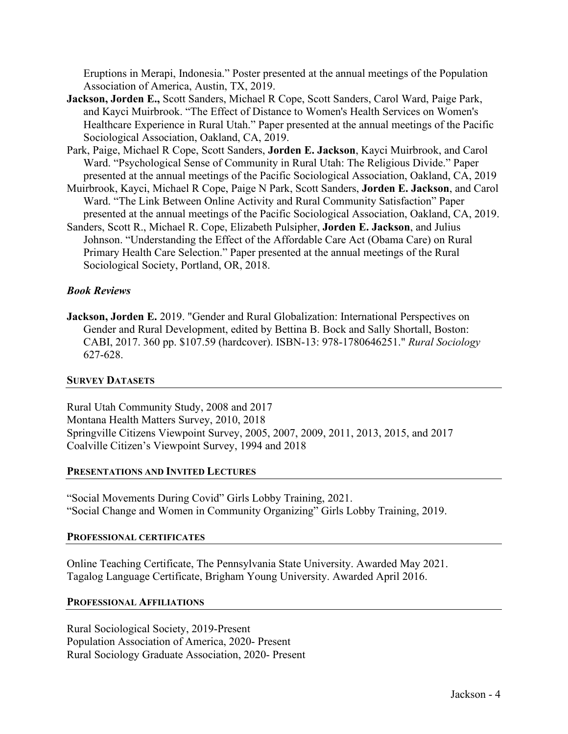Eruptions in Merapi, Indonesia." Poster presented at the annual meetings of the Population Association of America, Austin, TX, 2019.

- **Jackson, Jorden E.,** Scott Sanders, Michael R Cope, Scott Sanders, Carol Ward, Paige Park, and Kayci Muirbrook. "The Effect of Distance to Women's Health Services on Women's Healthcare Experience in Rural Utah." Paper presented at the annual meetings of the Pacific Sociological Association, Oakland, CA, 2019.
- Park, Paige, Michael R Cope, Scott Sanders, **Jorden E. Jackson**, Kayci Muirbrook, and Carol Ward. "Psychological Sense of Community in Rural Utah: The Religious Divide." Paper presented at the annual meetings of the Pacific Sociological Association, Oakland, CA, 2019
- Muirbrook, Kayci, Michael R Cope, Paige N Park, Scott Sanders, **Jorden E. Jackson**, and Carol Ward. "The Link Between Online Activity and Rural Community Satisfaction" Paper presented at the annual meetings of the Pacific Sociological Association, Oakland, CA, 2019.
- Sanders, Scott R., Michael R. Cope, Elizabeth Pulsipher, **Jorden E. Jackson**, and Julius Johnson. "Understanding the Effect of the Affordable Care Act (Obama Care) on Rural Primary Health Care Selection." Paper presented at the annual meetings of the Rural Sociological Society, Portland, OR, 2018.

# *Book Reviews*

**Jackson, Jorden E.** 2019. "Gender and Rural Globalization: International Perspectives on Gender and Rural Development, edited by Bettina B. Bock and Sally Shortall, Boston: CABI, 2017. 360 pp. \$107.59 (hardcover). ISBN‐13: 978‐1780646251." *Rural Sociology* 627-628.

# **SURVEY DATASETS**

Rural Utah Community Study, 2008 and 2017 Montana Health Matters Survey, 2010, 2018 Springville Citizens Viewpoint Survey, 2005, 2007, 2009, 2011, 2013, 2015, and 2017 Coalville Citizen's Viewpoint Survey, 1994 and 2018

#### **PRESENTATIONS AND INVITED LECTURES**

"Social Movements During Covid" Girls Lobby Training, 2021. "Social Change and Women in Community Organizing" Girls Lobby Training, 2019.

#### **PROFESSIONAL CERTIFICATES**

Online Teaching Certificate, The Pennsylvania State University. Awarded May 2021. Tagalog Language Certificate, Brigham Young University. Awarded April 2016.

# **PROFESSIONAL AFFILIATIONS**

Rural Sociological Society, 2019-Present Population Association of America, 2020- Present Rural Sociology Graduate Association, 2020- Present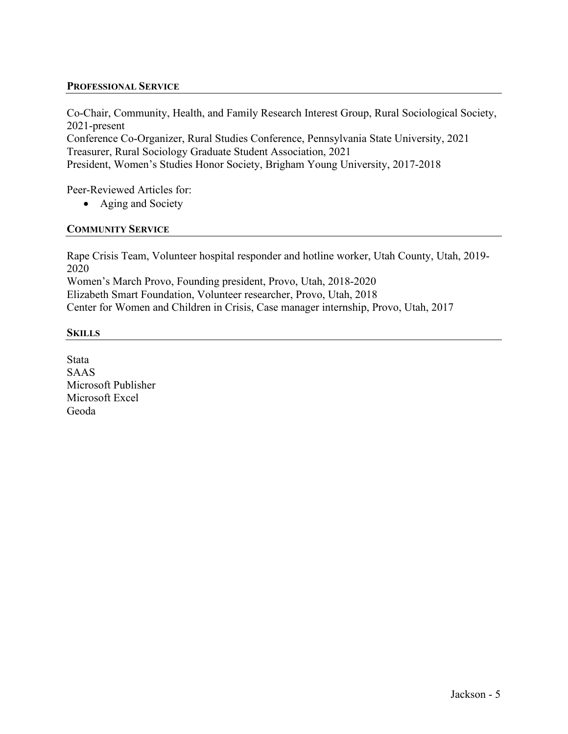### **PROFESSIONAL SERVICE**

Co-Chair, Community, Health, and Family Research Interest Group, Rural Sociological Society, 2021-present Conference Co-Organizer, Rural Studies Conference, Pennsylvania State University, 2021 Treasurer, Rural Sociology Graduate Student Association, 2021 President, Women's Studies Honor Society, Brigham Young University, 2017-2018

Peer-Reviewed Articles for:

• Aging and Society

# **COMMUNITY SERVICE**

Rape Crisis Team, Volunteer hospital responder and hotline worker, Utah County, Utah, 2019- 2020

Women's March Provo, Founding president, Provo, Utah, 2018-2020 Elizabeth Smart Foundation, Volunteer researcher, Provo, Utah, 2018 Center for Women and Children in Crisis, Case manager internship, Provo, Utah, 2017

#### **SKILLS**

Stata SAAS Microsoft Publisher Microsoft Excel Geoda